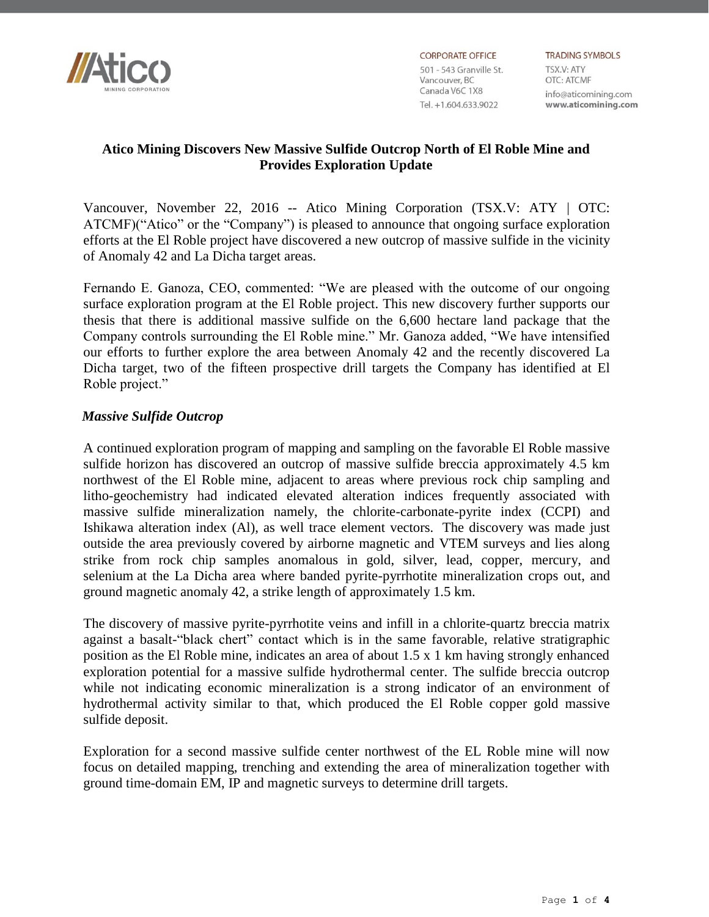

**CORPORATE OFFICE** 501 - 543 Granville St. Vancouver, BC Canada V6C 1X8 Tel. +1.604.633.9022

**TRADING SYMBOLS** TSX.V: ATY OTC: ATCMF info@aticomining.com www.aticomining.com

# **Atico Mining Discovers New Massive Sulfide Outcrop North of El Roble Mine and Provides Exploration Update**

Vancouver, November 22, 2016 -- Atico Mining Corporation (TSX.V: ATY | OTC: ATCMF)("Atico" or the "Company") is pleased to announce that ongoing surface exploration efforts at the El Roble project have discovered a new outcrop of massive sulfide in the vicinity of Anomaly 42 and La Dicha target areas.

Fernando E. Ganoza, CEO, commented: "We are pleased with the outcome of our ongoing surface exploration program at the El Roble project. This new discovery further supports our thesis that there is additional massive sulfide on the 6,600 hectare land package that the Company controls surrounding the El Roble mine." Mr. Ganoza added, "We have intensified our efforts to further explore the area between Anomaly 42 and the recently discovered La Dicha target, two of the fifteen prospective drill targets the Company has identified at El Roble project."

## *Massive Sulfide Outcrop*

A continued exploration program of mapping and sampling on the favorable El Roble massive sulfide horizon has discovered an outcrop of massive sulfide breccia approximately 4.5 km northwest of the El Roble mine, adjacent to areas where previous rock chip sampling and litho-geochemistry had indicated elevated alteration indices frequently associated with massive sulfide mineralization namely, the chlorite-carbonate-pyrite index (CCPI) and Ishikawa alteration index (Al), as well trace element vectors. The discovery was made just outside the area previously covered by airborne magnetic and VTEM surveys and lies along strike from rock chip samples anomalous in gold, silver, lead, copper, mercury, and selenium at the La Dicha area where banded pyrite-pyrrhotite mineralization crops out, and ground magnetic anomaly 42, a strike length of approximately 1.5 km.

The discovery of massive pyrite-pyrrhotite veins and infill in a chlorite-quartz breccia matrix against a basalt-"black chert" contact which is in the same favorable, relative stratigraphic position as the El Roble mine, indicates an area of about 1.5 x 1 km having strongly enhanced exploration potential for a massive sulfide hydrothermal center. The sulfide breccia outcrop while not indicating economic mineralization is a strong indicator of an environment of hydrothermal activity similar to that, which produced the El Roble copper gold massive sulfide deposit.

Exploration for a second massive sulfide center northwest of the EL Roble mine will now focus on detailed mapping, trenching and extending the area of mineralization together with ground time-domain EM, IP and magnetic surveys to determine drill targets.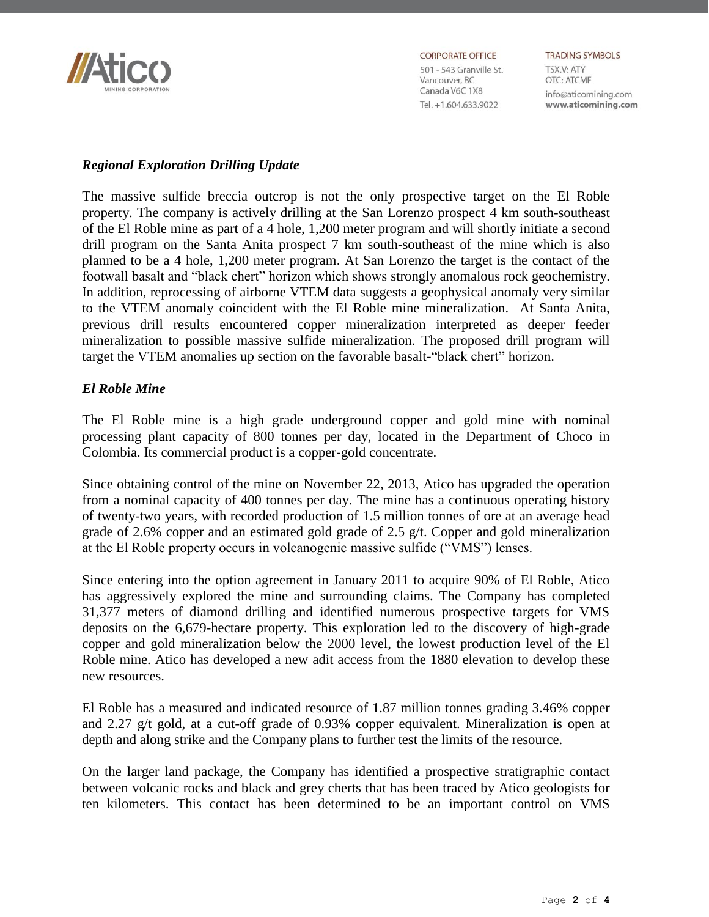

**CORPORATE OFFICE** 

501 - 543 Granville St. Vancouver, BC Canada V6C 1X8 Tel. +1.604.633.9022

**TRADING SYMBOLS** TSX.V: ATY OTC: ATCMF info@aticomining.com www.aticomining.com

#### *Regional Exploration Drilling Update*

The massive sulfide breccia outcrop is not the only prospective target on the El Roble property. The company is actively drilling at the San Lorenzo prospect 4 km south-southeast of the El Roble mine as part of a 4 hole, 1,200 meter program and will shortly initiate a second drill program on the Santa Anita prospect 7 km south-southeast of the mine which is also planned to be a 4 hole, 1,200 meter program. At San Lorenzo the target is the contact of the footwall basalt and "black chert" horizon which shows strongly anomalous rock geochemistry. In addition, reprocessing of airborne VTEM data suggests a geophysical anomaly very similar to the VTEM anomaly coincident with the El Roble mine mineralization. At Santa Anita, previous drill results encountered copper mineralization interpreted as deeper feeder mineralization to possible massive sulfide mineralization. The proposed drill program will target the VTEM anomalies up section on the favorable basalt-"black chert" horizon.

## *El Roble Mine*

The El Roble mine is a high grade underground copper and gold mine with nominal processing plant capacity of 800 tonnes per day, located in the Department of Choco in Colombia. Its commercial product is a copper-gold concentrate.

Since obtaining control of the mine on November 22, 2013, Atico has upgraded the operation from a nominal capacity of 400 tonnes per day. The mine has a continuous operating history of twenty-two years, with recorded production of 1.5 million tonnes of ore at an average head grade of 2.6% copper and an estimated gold grade of 2.5 g/t. Copper and gold mineralization at the El Roble property occurs in volcanogenic massive sulfide ("VMS") lenses.

Since entering into the option agreement in January 2011 to acquire 90% of El Roble, Atico has aggressively explored the mine and surrounding claims. The Company has completed 31,377 meters of diamond drilling and identified numerous prospective targets for VMS deposits on the 6,679-hectare property. This exploration led to the discovery of high-grade copper and gold mineralization below the 2000 level, the lowest production level of the El Roble mine. Atico has developed a new adit access from the 1880 elevation to develop these new resources.

El Roble has a measured and indicated resource of 1.87 million tonnes grading 3.46% copper and 2.27 g/t gold, at a cut-off grade of 0.93% copper equivalent. Mineralization is open at depth and along strike and the Company plans to further test the limits of the resource.

On the larger land package, the Company has identified a prospective stratigraphic contact between volcanic rocks and black and grey cherts that has been traced by Atico geologists for ten kilometers. This contact has been determined to be an important control on VMS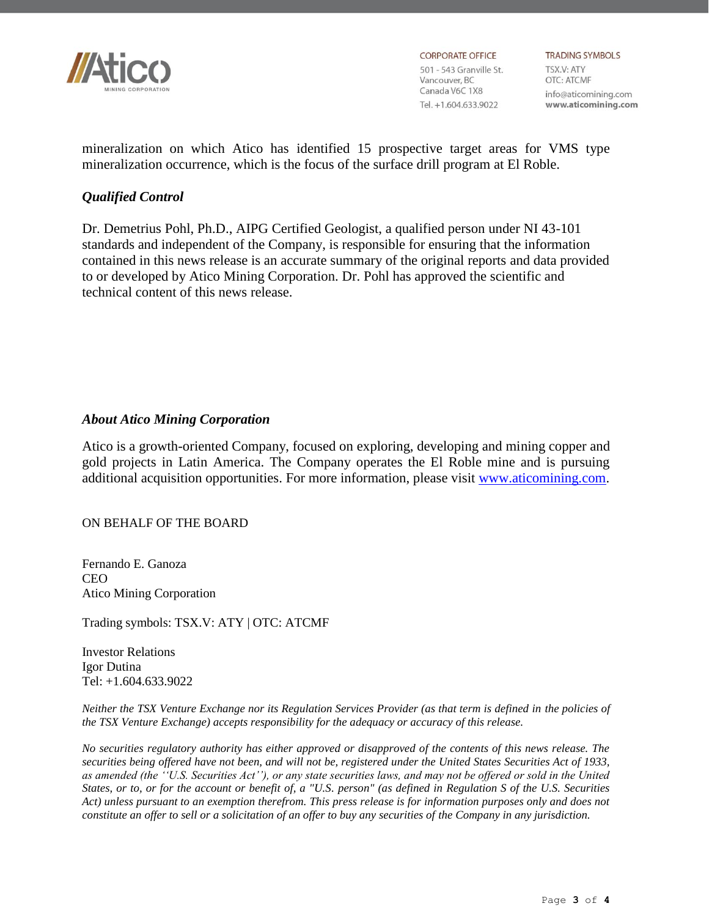

**CORPORATE OFFICE** 501 - 543 Granville St. Vancouver, BC Canada V6C 1X8 Tel. +1.604.633.9022

**TRADING SYMBOLS** TSX.V: ATY OTC: ATCMF info@aticomining.com www.aticomining.com

mineralization on which Atico has identified 15 prospective target areas for VMS type mineralization occurrence, which is the focus of the surface drill program at El Roble.

# *Qualified Control*

Dr. Demetrius Pohl, Ph.D., AIPG Certified Geologist, a qualified person under NI 43-101 standards and independent of the Company, is responsible for ensuring that the information contained in this news release is an accurate summary of the original reports and data provided to or developed by Atico Mining Corporation. Dr. Pohl has approved the scientific and technical content of this news release.

#### *About Atico Mining Corporation*

Atico is a growth-oriented Company, focused on exploring, developing and mining copper and gold projects in Latin America. The Company operates the El Roble mine and is pursuing additional acquisition opportunities. For more information, please visit [www.aticomining.com.](http://www.aticomining.com/)

#### ON BEHALF OF THE BOARD

Fernando E. Ganoza **CEO** Atico Mining Corporation

Trading symbols: TSX.V: ATY | OTC: ATCMF

Investor Relations Igor Dutina Tel: +1.604.633.9022

*Neither the TSX Venture Exchange nor its Regulation Services Provider (as that term is defined in the policies of the TSX Venture Exchange) accepts responsibility for the adequacy or accuracy of this release.*

*No securities regulatory authority has either approved or disapproved of the contents of this news release. The securities being offered have not been, and will not be, registered under the United States Securities Act of 1933, as amended (the ''U.S. Securities Act''), or any state securities laws, and may not be offered or sold in the United States, or to, or for the account or benefit of, a "U.S. person" (as defined in Regulation S of the U.S. Securities Act) unless pursuant to an exemption therefrom. This press release is for information purposes only and does not constitute an offer to sell or a solicitation of an offer to buy any securities of the Company in any jurisdiction.*